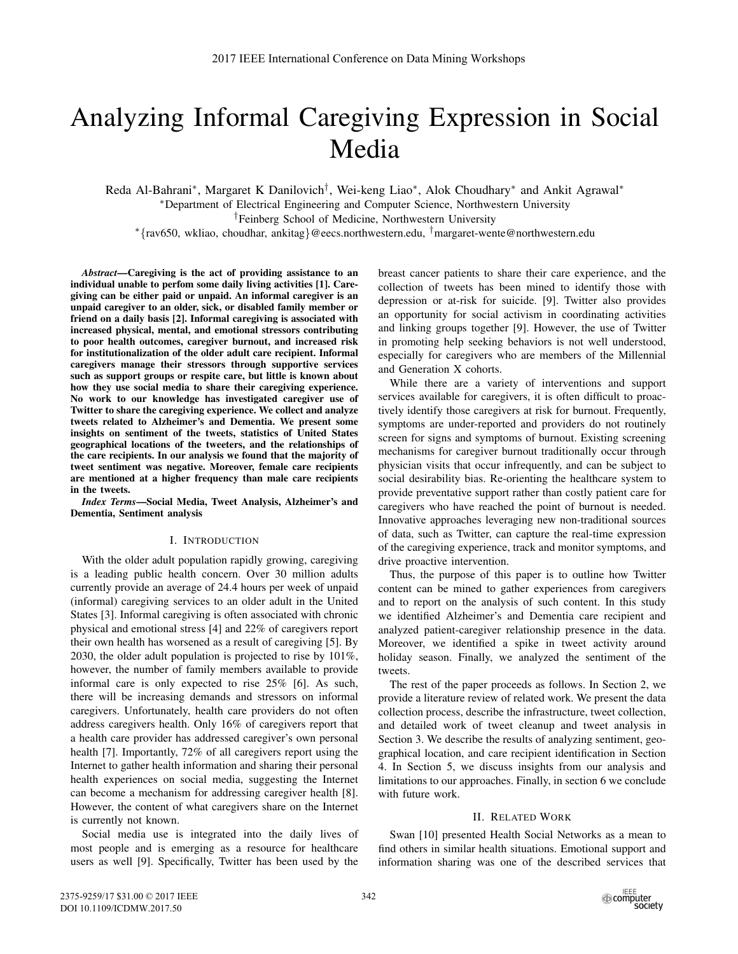# Analyzing Informal Caregiving Expression in Social Media

Reda Al-Bahrani∗, Margaret K Danilovich†, Wei-keng Liao∗, Alok Choudhary<sup>∗</sup> and Ankit Agrawal<sup>∗</sup> <sup>∗</sup>Department of Electrical Engineering and Computer Science, Northwestern University †Feinberg School of Medicine, Northwestern University

<sup>∗</sup>{rav650, wkliao, choudhar, ankitag}@eecs.northwestern.edu, †margaret-wente@northwestern.edu

*Abstract*—Caregiving is the act of providing assistance to an individual unable to perfom some daily living activities [1]. Caregiving can be either paid or unpaid. An informal caregiver is an unpaid caregiver to an older, sick, or disabled family member or friend on a daily basis [2]. Informal caregiving is associated with increased physical, mental, and emotional stressors contributing to poor health outcomes, caregiver burnout, and increased risk for institutionalization of the older adult care recipient. Informal caregivers manage their stressors through supportive services such as support groups or respite care, but little is known about how they use social media to share their caregiving experience. No work to our knowledge has investigated caregiver use of Twitter to share the caregiving experience. We collect and analyze tweets related to Alzheimer's and Dementia. We present some insights on sentiment of the tweets, statistics of United States geographical locations of the tweeters, and the relationships of the care recipients. In our analysis we found that the majority of tweet sentiment was negative. Moreover, female care recipients are mentioned at a higher frequency than male care recipients in the tweets.

*Index Terms*—Social Media, Tweet Analysis, Alzheimer's and Dementia, Sentiment analysis

## I. INTRODUCTION

With the older adult population rapidly growing, caregiving is a leading public health concern. Over 30 million adults currently provide an average of 24.4 hours per week of unpaid (informal) caregiving services to an older adult in the United States [3]. Informal caregiving is often associated with chronic physical and emotional stress [4] and 22% of caregivers report their own health has worsened as a result of caregiving [5]. By 2030, the older adult population is projected to rise by 101%, however, the number of family members available to provide informal care is only expected to rise 25% [6]. As such, there will be increasing demands and stressors on informal caregivers. Unfortunately, health care providers do not often address caregivers health. Only 16% of caregivers report that a health care provider has addressed caregiver's own personal health [7]. Importantly, 72% of all caregivers report using the Internet to gather health information and sharing their personal health experiences on social media, suggesting the Internet can become a mechanism for addressing caregiver health [8]. However, the content of what caregivers share on the Internet is currently not known.

Social media use is integrated into the daily lives of most people and is emerging as a resource for healthcare users as well [9]. Specifically, Twitter has been used by the

breast cancer patients to share their care experience, and the collection of tweets has been mined to identify those with depression or at-risk for suicide. [9]. Twitter also provides an opportunity for social activism in coordinating activities and linking groups together [9]. However, the use of Twitter in promoting help seeking behaviors is not well understood, especially for caregivers who are members of the Millennial and Generation X cohorts.

While there are a variety of interventions and support services available for caregivers, it is often difficult to proactively identify those caregivers at risk for burnout. Frequently, symptoms are under-reported and providers do not routinely screen for signs and symptoms of burnout. Existing screening mechanisms for caregiver burnout traditionally occur through physician visits that occur infrequently, and can be subject to social desirability bias. Re-orienting the healthcare system to provide preventative support rather than costly patient care for caregivers who have reached the point of burnout is needed. Innovative approaches leveraging new non-traditional sources of data, such as Twitter, can capture the real-time expression of the caregiving experience, track and monitor symptoms, and drive proactive intervention.

Thus, the purpose of this paper is to outline how Twitter content can be mined to gather experiences from caregivers and to report on the analysis of such content. In this study we identified Alzheimer's and Dementia care recipient and analyzed patient-caregiver relationship presence in the data. Moreover, we identified a spike in tweet activity around holiday season. Finally, we analyzed the sentiment of the tweets.

The rest of the paper proceeds as follows. In Section 2, we provide a literature review of related work. We present the data collection process, describe the infrastructure, tweet collection, and detailed work of tweet cleanup and tweet analysis in Section 3. We describe the results of analyzing sentiment, geographical location, and care recipient identification in Section 4. In Section 5, we discuss insights from our analysis and limitations to our approaches. Finally, in section 6 we conclude with future work.

### II. RELATED WORK

Swan [10] presented Health Social Networks as a mean to find others in similar health situations. Emotional support and information sharing was one of the described services that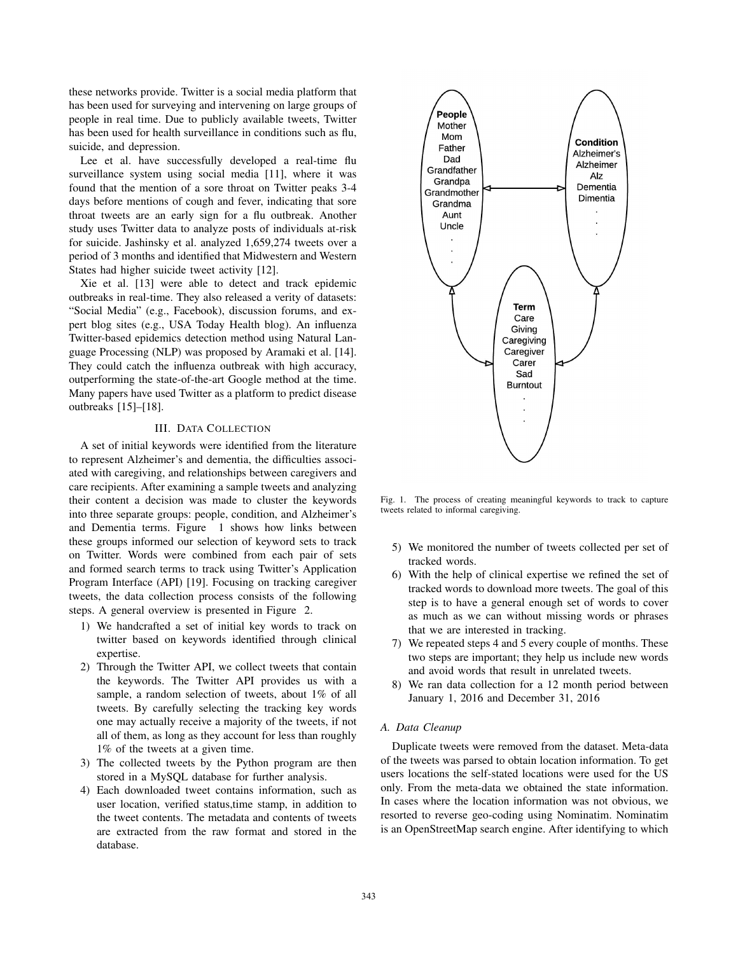these networks provide. Twitter is a social media platform that has been used for surveying and intervening on large groups of people in real time. Due to publicly available tweets, Twitter has been used for health surveillance in conditions such as flu, suicide, and depression.

Lee et al. have successfully developed a real-time flu surveillance system using social media [11], where it was found that the mention of a sore throat on Twitter peaks 3-4 days before mentions of cough and fever, indicating that sore throat tweets are an early sign for a flu outbreak. Another study uses Twitter data to analyze posts of individuals at-risk for suicide. Jashinsky et al. analyzed 1,659,274 tweets over a period of 3 months and identified that Midwestern and Western States had higher suicide tweet activity [12].

Xie et al. [13] were able to detect and track epidemic outbreaks in real-time. They also released a verity of datasets: "Social Media" (e.g., Facebook), discussion forums, and expert blog sites (e.g., USA Today Health blog). An influenza Twitter-based epidemics detection method using Natural Language Processing (NLP) was proposed by Aramaki et al. [14]. They could catch the influenza outbreak with high accuracy, outperforming the state-of-the-art Google method at the time. Many papers have used Twitter as a platform to predict disease outbreaks [15]–[18].

#### III. DATA COLLECTION

A set of initial keywords were identified from the literature to represent Alzheimer's and dementia, the difficulties associated with caregiving, and relationships between caregivers and care recipients. After examining a sample tweets and analyzing their content a decision was made to cluster the keywords into three separate groups: people, condition, and Alzheimer's and Dementia terms. Figure 1 shows how links between these groups informed our selection of keyword sets to track on Twitter. Words were combined from each pair of sets and formed search terms to track using Twitter's Application Program Interface (API) [19]. Focusing on tracking caregiver tweets, the data collection process consists of the following steps. A general overview is presented in Figure 2.

- 1) We handcrafted a set of initial key words to track on twitter based on keywords identified through clinical expertise.
- 2) Through the Twitter API, we collect tweets that contain the keywords. The Twitter API provides us with a sample, a random selection of tweets, about 1% of all tweets. By carefully selecting the tracking key words one may actually receive a majority of the tweets, if not all of them, as long as they account for less than roughly 1% of the tweets at a given time.
- 3) The collected tweets by the Python program are then stored in a MySQL database for further analysis.
- 4) Each downloaded tweet contains information, such as user location, verified status,time stamp, in addition to the tweet contents. The metadata and contents of tweets are extracted from the raw format and stored in the database.



Fig. 1. The process of creating meaningful keywords to track to capture tweets related to informal caregiving.

- 5) We monitored the number of tweets collected per set of tracked words.
- 6) With the help of clinical expertise we refined the set of tracked words to download more tweets. The goal of this step is to have a general enough set of words to cover as much as we can without missing words or phrases that we are interested in tracking.
- 7) We repeated steps 4 and 5 every couple of months. These two steps are important; they help us include new words and avoid words that result in unrelated tweets.
- 8) We ran data collection for a 12 month period between January 1, 2016 and December 31, 2016

#### *A. Data Cleanup*

Duplicate tweets were removed from the dataset. Meta-data of the tweets was parsed to obtain location information. To get users locations the self-stated locations were used for the US only. From the meta-data we obtained the state information. In cases where the location information was not obvious, we resorted to reverse geo-coding using Nominatim. Nominatim is an OpenStreetMap search engine. After identifying to which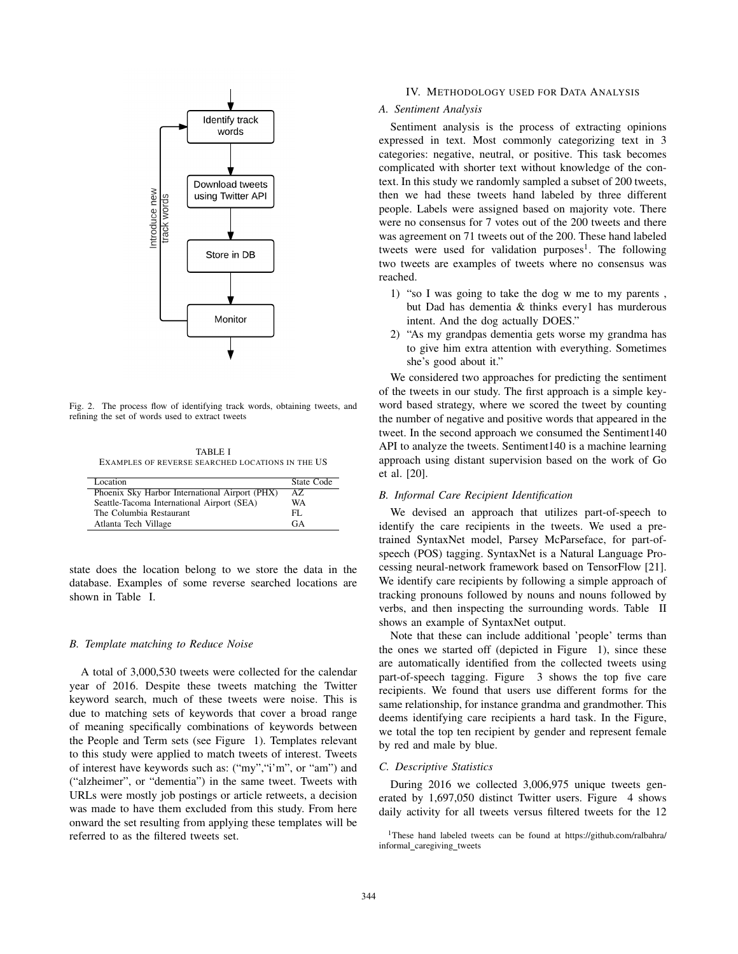

Fig. 2. The process flow of identifying track words, obtaining tweets, and refining the set of words used to extract tweets

TABLE I EXAMPLES OF REVERSE SEARCHED LOCATIONS IN THE US

| Location                                       | State Code |
|------------------------------------------------|------------|
| Phoenix Sky Harbor International Airport (PHX) | AZ.        |
| Seattle-Tacoma International Airport (SEA)     | WA         |
| The Columbia Restaurant                        | FL.        |
| Atlanta Tech Village                           | GA         |

state does the location belong to we store the data in the database. Examples of some reverse searched locations are shown in Table I.

#### *B. Template matching to Reduce Noise*

A total of 3,000,530 tweets were collected for the calendar year of 2016. Despite these tweets matching the Twitter keyword search, much of these tweets were noise. This is due to matching sets of keywords that cover a broad range of meaning specifically combinations of keywords between the People and Term sets (see Figure 1). Templates relevant to this study were applied to match tweets of interest. Tweets of interest have keywords such as: ("my","i'm", or "am") and ("alzheimer", or "dementia") in the same tweet. Tweets with URLs were mostly job postings or article retweets, a decision was made to have them excluded from this study. From here onward the set resulting from applying these templates will be referred to as the filtered tweets set.

# IV. METHODOLOGY USED FOR DATA ANALYSIS

## *A. Sentiment Analysis*

Sentiment analysis is the process of extracting opinions expressed in text. Most commonly categorizing text in 3 categories: negative, neutral, or positive. This task becomes complicated with shorter text without knowledge of the context. In this study we randomly sampled a subset of 200 tweets, then we had these tweets hand labeled by three different people. Labels were assigned based on majority vote. There were no consensus for 7 votes out of the 200 tweets and there was agreement on 71 tweets out of the 200. These hand labeled tweets were used for validation purposes<sup>1</sup>. The following two tweets are examples of tweets where no consensus was reached.

- 1) "so I was going to take the dog w me to my parents , but Dad has dementia & thinks every1 has murderous intent. And the dog actually DOES."
- 2) "As my grandpas dementia gets worse my grandma has to give him extra attention with everything. Sometimes she's good about it."

We considered two approaches for predicting the sentiment of the tweets in our study. The first approach is a simple keyword based strategy, where we scored the tweet by counting the number of negative and positive words that appeared in the tweet. In the second approach we consumed the Sentiment140 API to analyze the tweets. Sentiment140 is a machine learning approach using distant supervision based on the work of Go et al. [20].

# *B. Informal Care Recipient Identification*

We devised an approach that utilizes part-of-speech to identify the care recipients in the tweets. We used a pretrained SyntaxNet model, Parsey McParseface, for part-ofspeech (POS) tagging. SyntaxNet is a Natural Language Processing neural-network framework based on TensorFlow [21]. We identify care recipients by following a simple approach of tracking pronouns followed by nouns and nouns followed by verbs, and then inspecting the surrounding words. Table II shows an example of SyntaxNet output.

Note that these can include additional 'people' terms than the ones we started off (depicted in Figure 1), since these are automatically identified from the collected tweets using part-of-speech tagging. Figure 3 shows the top five care recipients. We found that users use different forms for the same relationship, for instance grandma and grandmother. This deems identifying care recipients a hard task. In the Figure, we total the top ten recipient by gender and represent female by red and male by blue.

## *C. Descriptive Statistics*

During 2016 we collected 3,006,975 unique tweets generated by 1,697,050 distinct Twitter users. Figure 4 shows daily activity for all tweets versus filtered tweets for the 12

<sup>&</sup>lt;sup>1</sup>These hand labeled tweets can be found at https://github.com/ralbahra/ informal\_caregiving\_tweets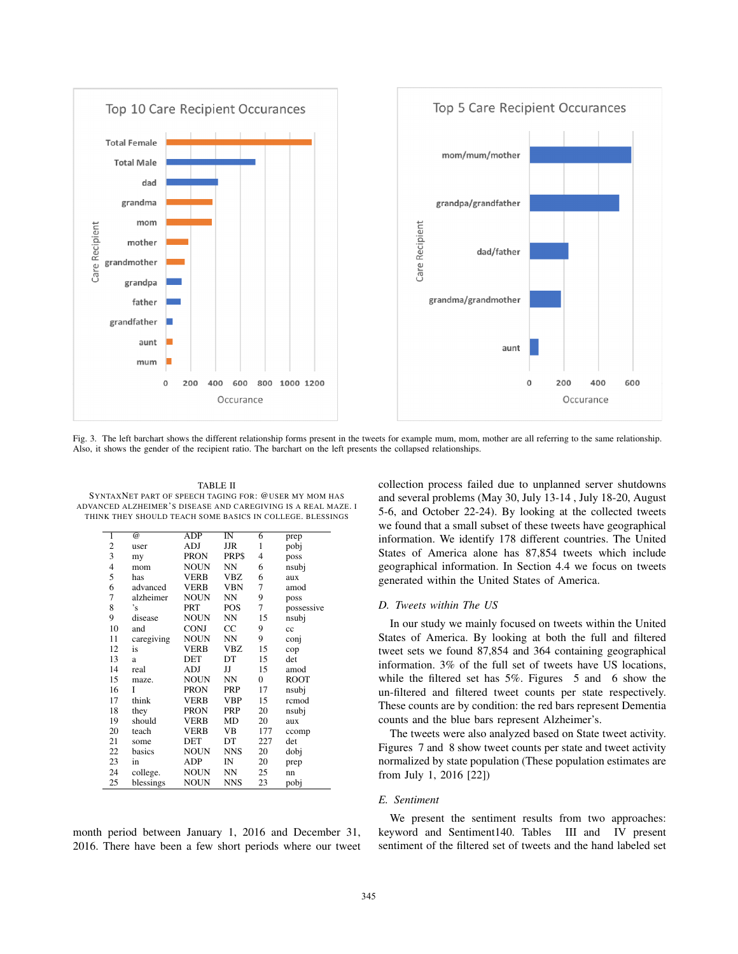

Fig. 3. The left barchart shows the different relationship forms present in the tweets for example mum, mom, mother are all referring to the same relationship. Also, it shows the gender of the recipient ratio. The barchart on the left presents the collapsed relationships.

TABLE II SYNTAXNET PART OF SPEECH TAGING FOR: @USER MY MOM HAS ADVANCED ALZHEIMER'S DISEASE AND CAREGIVING IS A REAL MAZE. I THINK THEY SHOULD TEACH SOME BASICS IN COLLEGE. BLESSINGS

| 1                       | $^{\copyright}$ | <b>ADP</b>  | IN         | 6            | prep        |
|-------------------------|-----------------|-------------|------------|--------------|-------------|
| $\overline{\mathbf{c}}$ | user            | ADJ         | JJR        | 1            | pobj        |
| 3                       | my              | <b>PRON</b> | PRP\$      | 4            | poss        |
| 4                       | mom             | <b>NOUN</b> | <b>NN</b>  | 6            | nsubj       |
| 5                       | has             | <b>VERB</b> | <b>VBZ</b> | 6            | aux         |
| 6                       | advanced        | <b>VERB</b> | <b>VBN</b> | 7            | amod        |
| 7                       | alzheimer       | <b>NOUN</b> | <b>NN</b>  | 9            | poss        |
| 8                       | 's              | <b>PRT</b>  | POS        | 7            | possessive  |
| 9                       | disease         | <b>NOUN</b> | NN         | 15           | nsubj       |
| 10                      | and             | <b>CONJ</b> | CC         | 9            | cc          |
| 11                      | caregiving      | <b>NOUN</b> | NN         | 9            | conj        |
| 12                      | is              | <b>VERB</b> | <b>VBZ</b> | 15           | cop         |
| 13                      | a               | DET         | DT         | 15           | det         |
| 14                      | real            | ADJ         | JJ         | 15           | amod        |
| 15                      | maze.           | <b>NOUN</b> | <b>NN</b>  | $\mathbf{0}$ | <b>ROOT</b> |
| 16                      | T               | <b>PRON</b> | PRP        | 17           | nsubj       |
| 17                      | think           | <b>VERB</b> | VBP        | 15           | rcmod       |
| 18                      | they            | <b>PRON</b> | PRP        | 20           | nsubj       |
| 19                      | should          | <b>VERB</b> | <b>MD</b>  | 20           | aux         |
| 20                      | teach           | <b>VERB</b> | VB         | 177          | ccomp       |
| 21                      | some            | DET         | DT         | 227          | det         |
| 22                      | basics          | <b>NOUN</b> | <b>NNS</b> | 20           | dobj        |
| 23                      | in              | ADP         | IN         | 20           | prep        |
| 24                      | college.        | <b>NOUN</b> | <b>NN</b>  | 25           | nn          |
| 25                      | blessings       | <b>NOUN</b> | <b>NNS</b> | 23           | pobj        |

month period between January 1, 2016 and December 31, 2016. There have been a few short periods where our tweet collection process failed due to unplanned server shutdowns and several problems (May 30, July 13-14 , July 18-20, August 5-6, and October 22-24). By looking at the collected tweets we found that a small subset of these tweets have geographical information. We identify 178 different countries. The United States of America alone has 87,854 tweets which include geographical information. In Section 4.4 we focus on tweets generated within the United States of America.

## *D. Tweets within The US*

In our study we mainly focused on tweets within the United States of America. By looking at both the full and filtered tweet sets we found 87,854 and 364 containing geographical information. 3% of the full set of tweets have US locations, while the filtered set has 5%. Figures 5 and 6 show the un-filtered and filtered tweet counts per state respectively. These counts are by condition: the red bars represent Dementia counts and the blue bars represent Alzheimer's.

The tweets were also analyzed based on State tweet activity. Figures 7 and 8 show tweet counts per state and tweet activity normalized by state population (These population estimates are from July 1, 2016 [22])

## *E. Sentiment*

We present the sentiment results from two approaches: keyword and Sentiment140. Tables III and IV present sentiment of the filtered set of tweets and the hand labeled set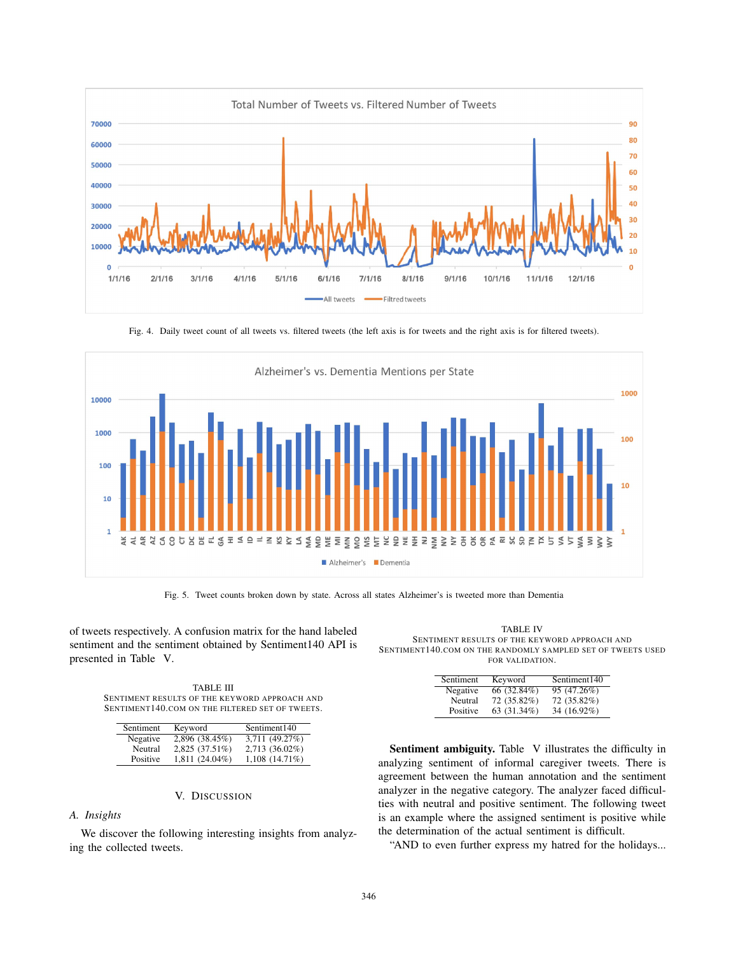

Fig. 4. Daily tweet count of all tweets vs. filtered tweets (the left axis is for tweets and the right axis is for filtered tweets).



Fig. 5. Tweet counts broken down by state. Across all states Alzheimer's is tweeted more than Dementia

of tweets respectively. A confusion matrix for the hand labeled sentiment and the sentiment obtained by Sentiment140 API is presented in Table V.

TABLE III SENTIMENT RESULTS OF THE KEYWORD APPROACH AND SENTIMENT140.COM ON THE FILTERED SET OF TWEETS.

| Sentiment | Keyword        | Sentiment140                |
|-----------|----------------|-----------------------------|
| Negative  | 2,896 (38.45%) | $3,7\overline{11}$ (49.27%) |
| Neutral   | 2,825 (37.51%) | 2,713 (36.02%)              |
| Positive  | 1,811 (24.04%) | $1,108$ $(14.71\%)$         |

# V. DISCUSSION

# *A. Insights*

We discover the following interesting insights from analyzing the collected tweets.

TABLE IV SENTIMENT RESULTS OF THE KEYWORD APPROACH AND SENTIMENT140.COM ON THE RANDOMLY SAMPLED SET OF TWEETS USED FOR VALIDATION.

| Sentiment | Keyword     | Sentiment140 |
|-----------|-------------|--------------|
| Negative  | 66 (32.84%) | 95 (47.26%)  |
| Neutral   | 72 (35.82%) | 72 (35.82%)  |
| Positive  | 63 (31.34%) | 34 (16.92%)  |

Sentiment ambiguity. Table V illustrates the difficulty in analyzing sentiment of informal caregiver tweets. There is agreement between the human annotation and the sentiment analyzer in the negative category. The analyzer faced difficulties with neutral and positive sentiment. The following tweet is an example where the assigned sentiment is positive while the determination of the actual sentiment is difficult.

"AND to even further express my hatred for the holidays...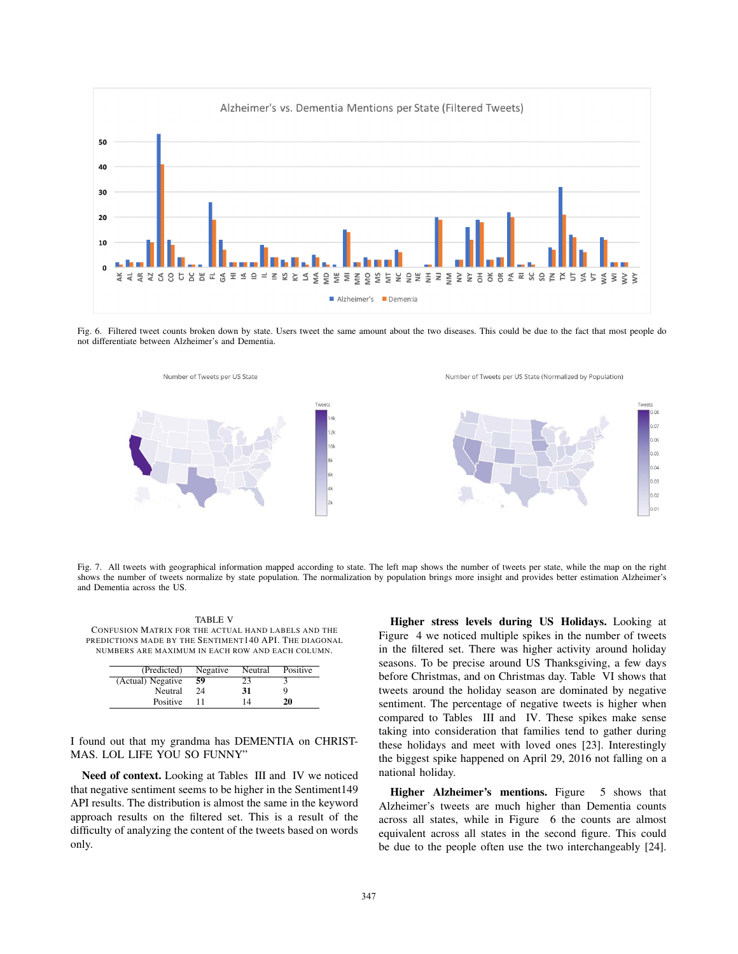

Fig. 6. Filtered tweet counts broken down by state. Users tweet the same amount about the two diseases. This could be due to the fact that most people do not differentiate between Alzheimer's and Dementia.



Fig. 7. All tweets with geographical information mapped according to state. The left map shows the number of tweets per state, while the map on the right shows the number of tweets normalize by state population. The normalization by population brings more insight and provides better estimation Alzheimer's and Dementia across the US.

TABLE V CONFUSION MATRIX FOR THE ACTUAL HAND LABELS AND THE PREDICTIONS MADE BY THE SENTIMENT140 API. THE DIAGONAL NUMBERS ARE MAXIMUM IN EACH ROW AND EACH COLUMN.

| (Predicted)       | Negative | Neutral | Positive |
|-------------------|----------|---------|----------|
| (Actual) Negative | 59       | 23      |          |
| Neutral           | 24       | 31      | Q        |
| Positive          |          | 14      | 20       |

I found out that my grandma has DEMENTIA on CHRIST-MAS. LOL LIFE YOU SO FUNNY"

Need of context. Looking at Tables III and IV we noticed that negative sentiment seems to be higher in the Sentiment149 API results. The distribution is almost the same in the keyword approach results on the filtered set. This is a result of the difficulty of analyzing the content of the tweets based on words only.

Higher stress levels during US Holidays. Looking at Figure 4 we noticed multiple spikes in the number of tweets in the filtered set. There was higher activity around holiday seasons. To be precise around US Thanksgiving, a few days before Christmas, and on Christmas day. Table VI shows that tweets around the holiday season are dominated by negative sentiment. The percentage of negative tweets is higher when compared to Tables III and IV. These spikes make sense taking into consideration that families tend to gather during these holidays and meet with loved ones [23]. Interestingly the biggest spike happened on April 29, 2016 not falling on a national holiday.

Higher Alzheimer's mentions. Figure 5 shows that Alzheimer's tweets are much higher than Dementia counts across all states, while in Figure 6 the counts are almost equivalent across all states in the second figure. This could be due to the people often use the two interchangeably [24].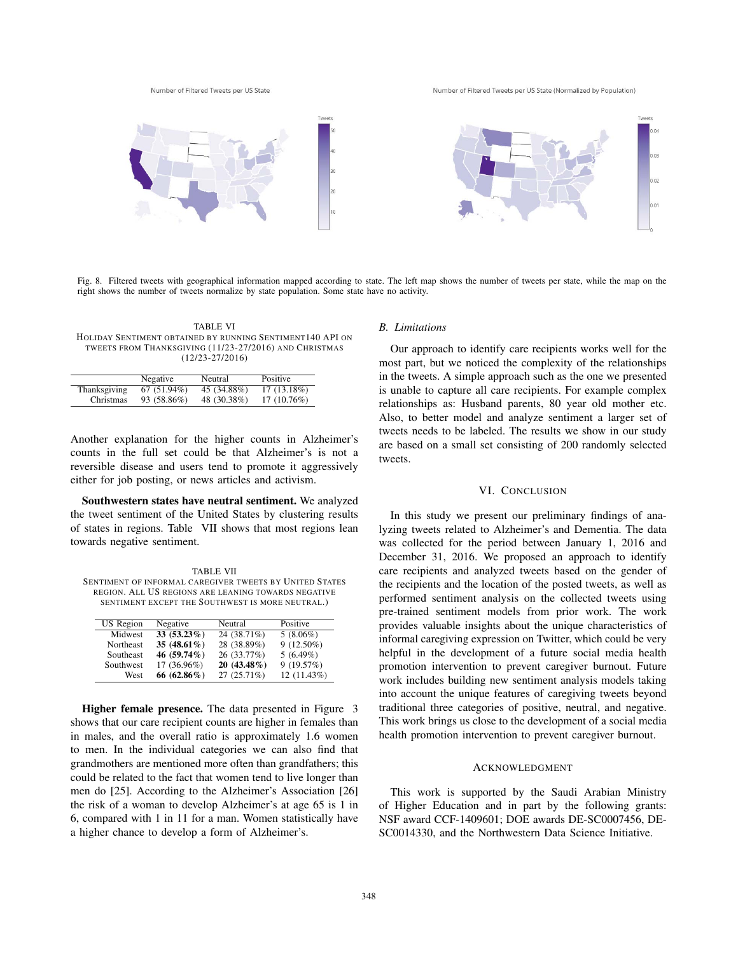Number of Filtered Tweets per US State (Normalized by Population)



Fig. 8. Filtered tweets with geographical information mapped according to state. The left map shows the number of tweets per state, while the map on the right shows the number of tweets normalize by state population. Some state have no activity.

TABLE VI HOLIDAY SENTIMENT OBTAINED BY RUNNING SENTIMENT140 API ON TWEETS FROM THANKSGIVING (11/23-27/2016) AND CHRISTMAS (12/23-27/2016)

|              | Negative      | Neutral     | Positive      |
|--------------|---------------|-------------|---------------|
| Thanksgiving | $67(51.94\%)$ | 45 (34.88%) | $17(13.18\%)$ |
| Christmas    | 93 (58.86%)   | 48 (30.38%) | $17(10.76\%)$ |

Another explanation for the higher counts in Alzheimer's counts in the full set could be that Alzheimer's is not a reversible disease and users tend to promote it aggressively either for job posting, or news articles and activism.

Southwestern states have neutral sentiment. We analyzed the tweet sentiment of the United States by clustering results of states in regions. Table VII shows that most regions lean towards negative sentiment.

TABLE VII SENTIMENT OF INFORMAL CAREGIVER TWEETS BY UNITED STATES REGION. ALL US REGIONS ARE LEANING TOWARDS NEGATIVE SENTIMENT EXCEPT THE SOUTHWEST IS MORE NEUTRAL.)

| US Region | Negative       | Neutral       | Positive     |
|-----------|----------------|---------------|--------------|
| Midwest   | $33(53.23\%)$  | 24 (38.71%)   | $5(8.06\%)$  |
| Northeast | 35 $(48.61\%)$ | 28 (38.89%)   | $9(12.50\%)$ |
| Southeast | 46 (59.74%)    | 26 (33.77%)   | $5(6.49\%)$  |
| Southwest | $17(36.96\%)$  | $20(43.48\%)$ | 9(19.57%)    |
| West      | 66 (62.86%)    | $27(25.71\%)$ | 12 (11.43%)  |

Higher female presence. The data presented in Figure 3 shows that our care recipient counts are higher in females than in males, and the overall ratio is approximately 1.6 women to men. In the individual categories we can also find that grandmothers are mentioned more often than grandfathers; this could be related to the fact that women tend to live longer than men do [25]. According to the Alzheimer's Association [26] the risk of a woman to develop Alzheimer's at age 65 is 1 in 6, compared with 1 in 11 for a man. Women statistically have a higher chance to develop a form of Alzheimer's.

#### *B. Limitations*

Our approach to identify care recipients works well for the most part, but we noticed the complexity of the relationships in the tweets. A simple approach such as the one we presented is unable to capture all care recipients. For example complex relationships as: Husband parents, 80 year old mother etc. Also, to better model and analyze sentiment a larger set of tweets needs to be labeled. The results we show in our study are based on a small set consisting of 200 randomly selected tweets.

## VI. CONCLUSION

In this study we present our preliminary findings of analyzing tweets related to Alzheimer's and Dementia. The data was collected for the period between January 1, 2016 and December 31, 2016. We proposed an approach to identify care recipients and analyzed tweets based on the gender of the recipients and the location of the posted tweets, as well as performed sentiment analysis on the collected tweets using pre-trained sentiment models from prior work. The work provides valuable insights about the unique characteristics of informal caregiving expression on Twitter, which could be very helpful in the development of a future social media health promotion intervention to prevent caregiver burnout. Future work includes building new sentiment analysis models taking into account the unique features of caregiving tweets beyond traditional three categories of positive, neutral, and negative. This work brings us close to the development of a social media health promotion intervention to prevent caregiver burnout.

#### **ACKNOWLEDGMENT**

This work is supported by the Saudi Arabian Ministry of Higher Education and in part by the following grants: NSF award CCF-1409601; DOE awards DE-SC0007456, DE-SC0014330, and the Northwestern Data Science Initiative.